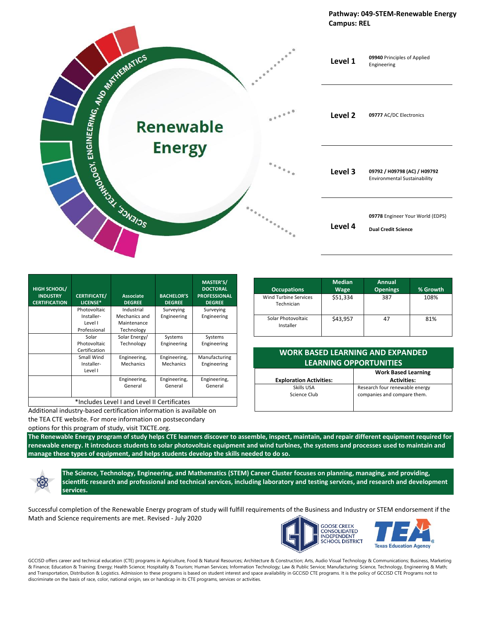

| <b>HIGH SCHOOL/</b><br><b>INDUSTRY</b><br><b>CERTIFICATION</b> | <b>CERTIFICATE/</b><br>LICENSE*                       | <b>Associate</b><br><b>DEGREE</b>                        | <b>BACHELOR'S</b><br><b>DEGREE</b> | <b>MASTER'S/</b><br><b>DOCTORAL</b><br><b>PROFESSIONAL</b><br><b>DEGREE</b> |
|----------------------------------------------------------------|-------------------------------------------------------|----------------------------------------------------------|------------------------------------|-----------------------------------------------------------------------------|
|                                                                | Photovoltaic<br>Installer-<br>Level I<br>Professional | Industrial<br>Mechanics and<br>Maintenance<br>Technology | Surveying<br>Engineering           | Surveying<br>Engineering                                                    |
|                                                                | Solar<br>Photovoltaic<br>Certification                | Solar Energy/<br>Technology                              | Systems<br>Engineering             | Systems<br>Engineering                                                      |
|                                                                | Small Wind<br>Installer-<br>Level I                   | Engineering,<br>Mechanics                                | Engineering,<br>Mechanics          | Manufacturing<br>Engineering                                                |
|                                                                |                                                       | Engineering,<br>General                                  | Engineering,<br>General            | Engineering,<br>General                                                     |
| *Includes Level I and Level II Certificates                    |                                                       |                                                          |                                    |                                                                             |

Additional industry-based certification information is available on

the TEA CTE website. For more information on postsecondary

options for this program of study, visit TXCTE.org.

**The Renewable Energy program of study helps CTE learners discover to assemble, inspect, maintain, and repair different equipment required for renewable energy. It introduces students to solar photovoltaic equipment and wind turbines, the systems and processes used to maintain and manage these types of equipment, and helps students develop the skills needed to do so.**

**The Science, Technology, Engineering, and Mathematics (STEM) Career Cluster focuses on planning, managing, and providing, scientific research and professional and technical services, including laboratory and testing services, and research and development services.**

Successful completion of the Renewable Energy program of study will fulfill requirements of the Business and Industry or STEM endorsement if the Math and Science requirements are met. Revised - July 2020

**GOOSE CREEK CONSOLIDATED**<br>INDEPENDENT **SCHOOL DISTRICT** 

**Texas Education Agency** 

GCCISD offers career and technical education (CTE) programs in Agriculture, Food & Natural Resources; Architecture & Construction; Arts, Audio Visual Technology & Communications; Business, Marketing & Finance; Education & Training; Energy; Health Science; Hospitality & Tourism; Human Services; Information Technology; Law & Public Service; Manufacturing; Science, Technology, Engineering & Math; and Transportation, Distribution & Logistics. Admission to these programs is based on student interest and space availability in GCCISD CTE programs. It is the policy of GCCISD CTE Programs not to discriminate on the basis of race, color, national origin, sex or handicap in its CTE programs, services or activities.

| <b>Occupations</b>                  | <b>Median</b><br><b>Wage</b> | <b>Annual</b><br><b>Openings</b> | % Growth |
|-------------------------------------|------------------------------|----------------------------------|----------|
| Wind Turbine Services<br>Technician | \$51,334                     | 387                              | 108%     |
| Solar Photovoltaic<br>Installer     | \$43,957                     |                                  | 81%      |

## **WORK BASED LEARNING AND EXPANDED LEARNING OPPORTUNITIES**

|                                | <b>Work Based Learning</b>     |
|--------------------------------|--------------------------------|
| <b>Exploration Activities:</b> | <b>Activities:</b>             |
| Skills USA                     | Research four renewable energy |
| Science Club                   | companies and compare them.    |
|                                |                                |